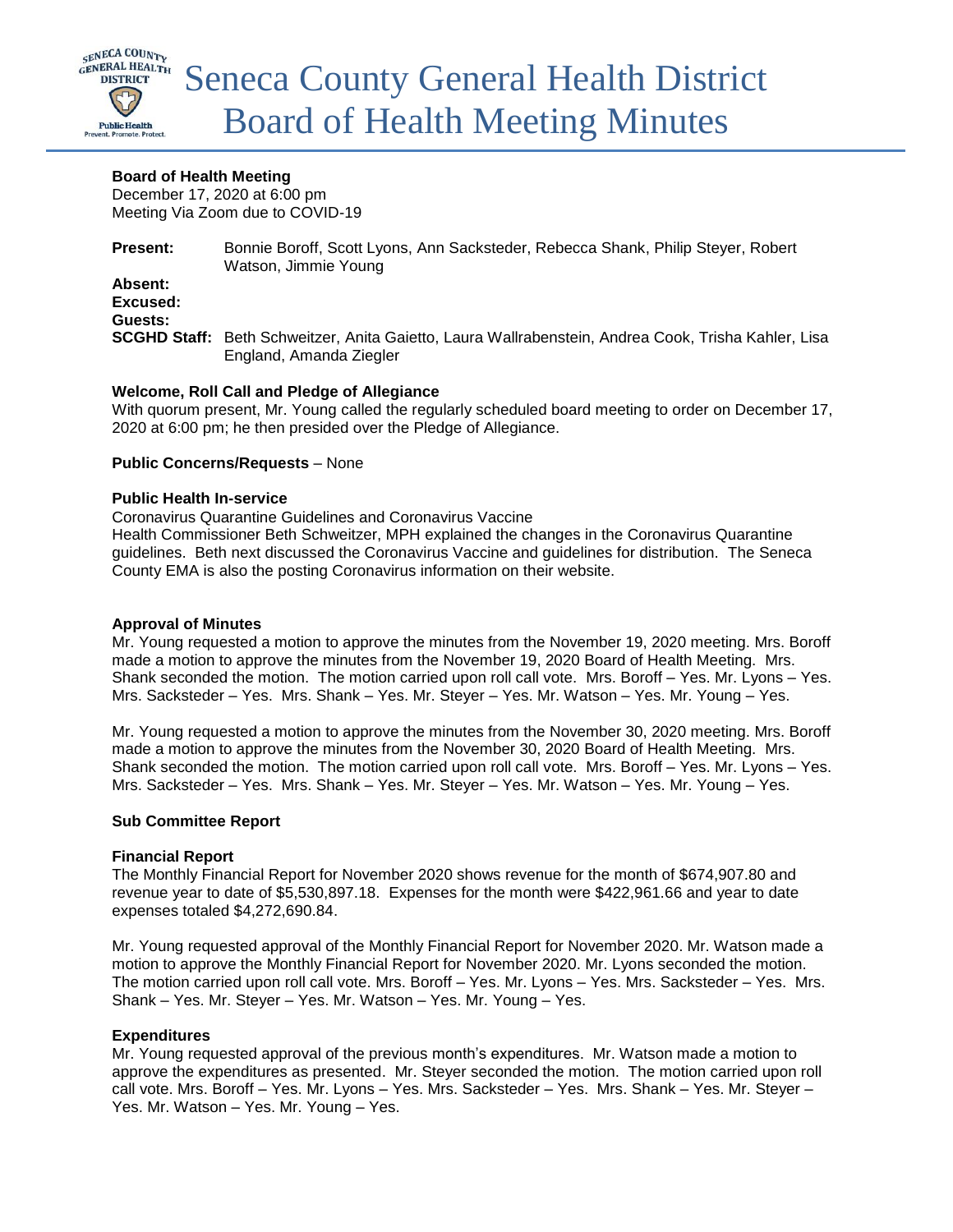

## **Board of Health Meeting**

December 17, 2020 at 6:00 pm Meeting Via Zoom due to COVID-19

**Present:** Bonnie Boroff, Scott Lyons, Ann Sacksteder, Rebecca Shank, Philip Steyer, Robert Watson, Jimmie Young **Absent: Excused: Guests: SCGHD Staff:** Beth Schweitzer, Anita Gaietto, Laura Wallrabenstein, Andrea Cook, Trisha Kahler, Lisa England, Amanda Ziegler

# **Welcome, Roll Call and Pledge of Allegiance**

With quorum present, Mr. Young called the regularly scheduled board meeting to order on December 17, 2020 at 6:00 pm; he then presided over the Pledge of Allegiance.

# **Public Concerns/Requests** – None

#### **Public Health In-service**

Coronavirus Quarantine Guidelines and Coronavirus Vaccine

Health Commissioner Beth Schweitzer, MPH explained the changes in the Coronavirus Quarantine guidelines. Beth next discussed the Coronavirus Vaccine and guidelines for distribution. The Seneca County EMA is also the posting Coronavirus information on their website.

### **Approval of Minutes**

Mr. Young requested a motion to approve the minutes from the November 19, 2020 meeting. Mrs. Boroff made a motion to approve the minutes from the November 19, 2020 Board of Health Meeting. Mrs. Shank seconded the motion. The motion carried upon roll call vote. Mrs. Boroff – Yes. Mr. Lyons – Yes. Mrs. Sacksteder – Yes. Mrs. Shank – Yes. Mr. Steyer – Yes. Mr. Watson – Yes. Mr. Young – Yes.

Mr. Young requested a motion to approve the minutes from the November 30, 2020 meeting. Mrs. Boroff made a motion to approve the minutes from the November 30, 2020 Board of Health Meeting. Mrs. Shank seconded the motion. The motion carried upon roll call vote. Mrs. Boroff – Yes. Mr. Lyons – Yes. Mrs. Sacksteder – Yes. Mrs. Shank – Yes. Mr. Steyer – Yes. Mr. Watson – Yes. Mr. Young – Yes.

### **Sub Committee Report**

### **Financial Report**

The Monthly Financial Report for November 2020 shows revenue for the month of \$674,907.80 and revenue year to date of \$5,530,897.18. Expenses for the month were \$422,961.66 and year to date expenses totaled \$4,272,690.84.

Mr. Young requested approval of the Monthly Financial Report for November 2020. Mr. Watson made a motion to approve the Monthly Financial Report for November 2020. Mr. Lyons seconded the motion. The motion carried upon roll call vote. Mrs. Boroff – Yes. Mr. Lyons – Yes. Mrs. Sacksteder – Yes. Mrs. Shank – Yes. Mr. Steyer – Yes. Mr. Watson – Yes. Mr. Young – Yes.

### **Expenditures**

Mr. Young requested approval of the previous month's expenditures. Mr. Watson made a motion to approve the expenditures as presented. Mr. Steyer seconded the motion. The motion carried upon roll call vote. Mrs. Boroff – Yes. Mr. Lyons – Yes. Mrs. Sacksteder – Yes. Mrs. Shank – Yes. Mr. Steyer – Yes. Mr. Watson – Yes. Mr. Young – Yes.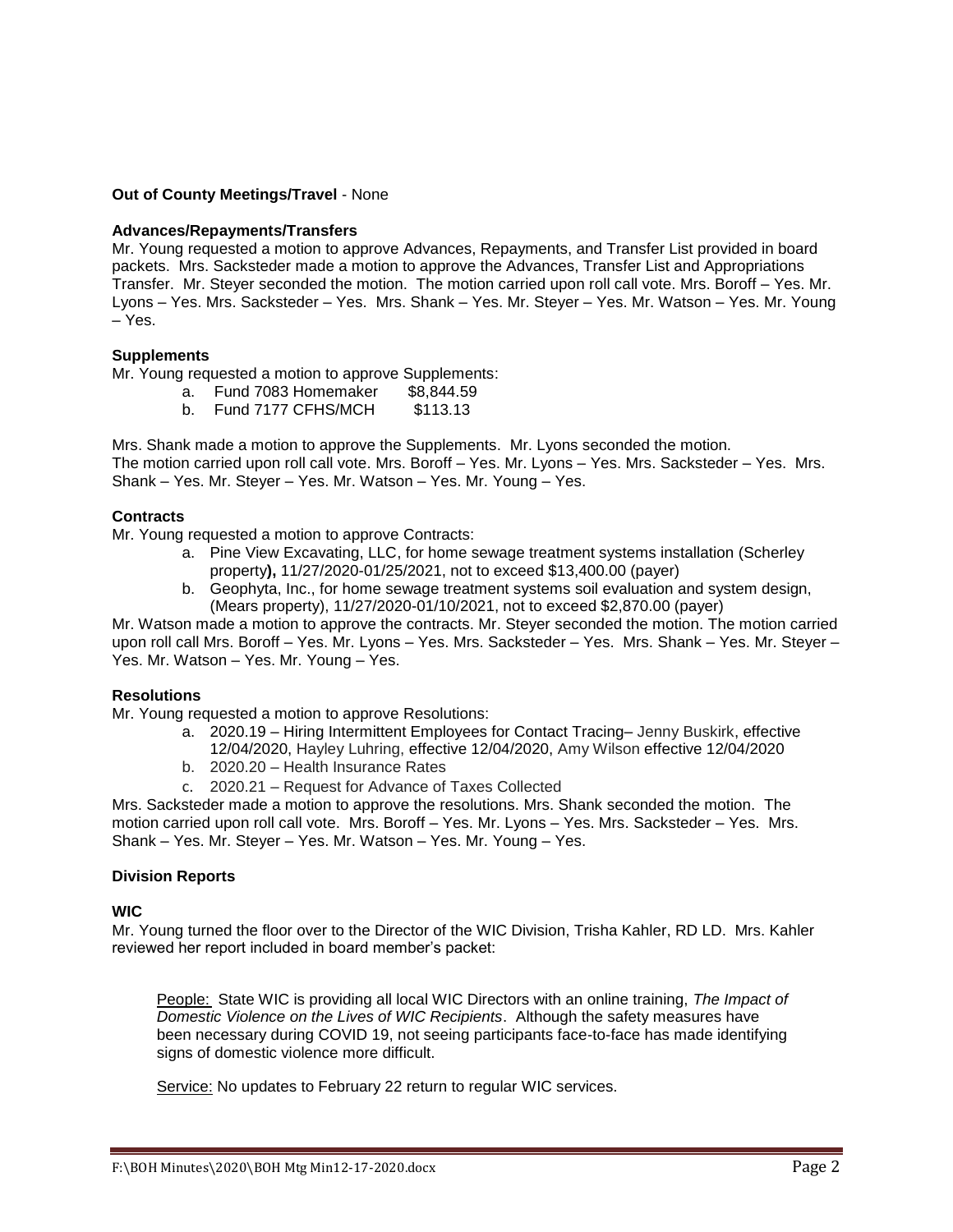### **Out of County Meetings/Travel** - None

#### **Advances/Repayments/Transfers**

Mr. Young requested a motion to approve Advances, Repayments, and Transfer List provided in board packets. Mrs. Sacksteder made a motion to approve the Advances, Transfer List and Appropriations Transfer. Mr. Steyer seconded the motion. The motion carried upon roll call vote. Mrs. Boroff – Yes. Mr. Lyons – Yes. Mrs. Sacksteder – Yes. Mrs. Shank – Yes. Mr. Steyer – Yes. Mr. Watson – Yes. Mr. Young – Yes.

#### **Supplements**

Mr. Young requested a motion to approve Supplements:

- a. Fund 7083 Homemaker \$8,844.59
- b. Fund 7177 CFHS/MCH \$113.13

Mrs. Shank made a motion to approve the Supplements. Mr. Lyons seconded the motion. The motion carried upon roll call vote. Mrs. Boroff – Yes. Mr. Lyons – Yes. Mrs. Sacksteder – Yes. Mrs. Shank – Yes. Mr. Steyer – Yes. Mr. Watson – Yes. Mr. Young – Yes.

#### **Contracts**

Mr. Young requested a motion to approve Contracts:

- a. Pine View Excavating, LLC, for home sewage treatment systems installation (Scherley property**),** 11/27/2020-01/25/2021, not to exceed \$13,400.00 (payer)
- b. Geophyta, Inc., for home sewage treatment systems soil evaluation and system design, (Mears property), 11/27/2020-01/10/2021, not to exceed \$2,870.00 (payer)

Mr. Watson made a motion to approve the contracts. Mr. Steyer seconded the motion. The motion carried upon roll call Mrs. Boroff – Yes. Mr. Lyons – Yes. Mrs. Sacksteder – Yes. Mrs. Shank – Yes. Mr. Steyer – Yes. Mr. Watson – Yes. Mr. Young – Yes.

#### **Resolutions**

Mr. Young requested a motion to approve Resolutions:

- a. 2020.19 Hiring Intermittent Employees for Contact Tracing– Jenny Buskirk, effective
	- 12/04/2020, Hayley Luhring, effective 12/04/2020, Amy Wilson effective 12/04/2020
- b. 2020.20 Health Insurance Rates
- c. 2020.21 Request for Advance of Taxes Collected

Mrs. Sacksteder made a motion to approve the resolutions. Mrs. Shank seconded the motion. The motion carried upon roll call vote. Mrs. Boroff – Yes. Mr. Lyons – Yes. Mrs. Sacksteder – Yes. Mrs. Shank – Yes. Mr. Steyer – Yes. Mr. Watson – Yes. Mr. Young – Yes.

### **Division Reports**

#### **WIC**

Mr. Young turned the floor over to the Director of the WIC Division, Trisha Kahler, RD LD. Mrs. Kahler reviewed her report included in board member's packet:

People: State WIC is providing all local WIC Directors with an online training, *The Impact of Domestic Violence on the Lives of WIC Recipients*. Although the safety measures have been necessary during COVID 19, not seeing participants face-to-face has made identifying signs of domestic violence more difficult.

Service: No updates to February 22 return to regular WIC services.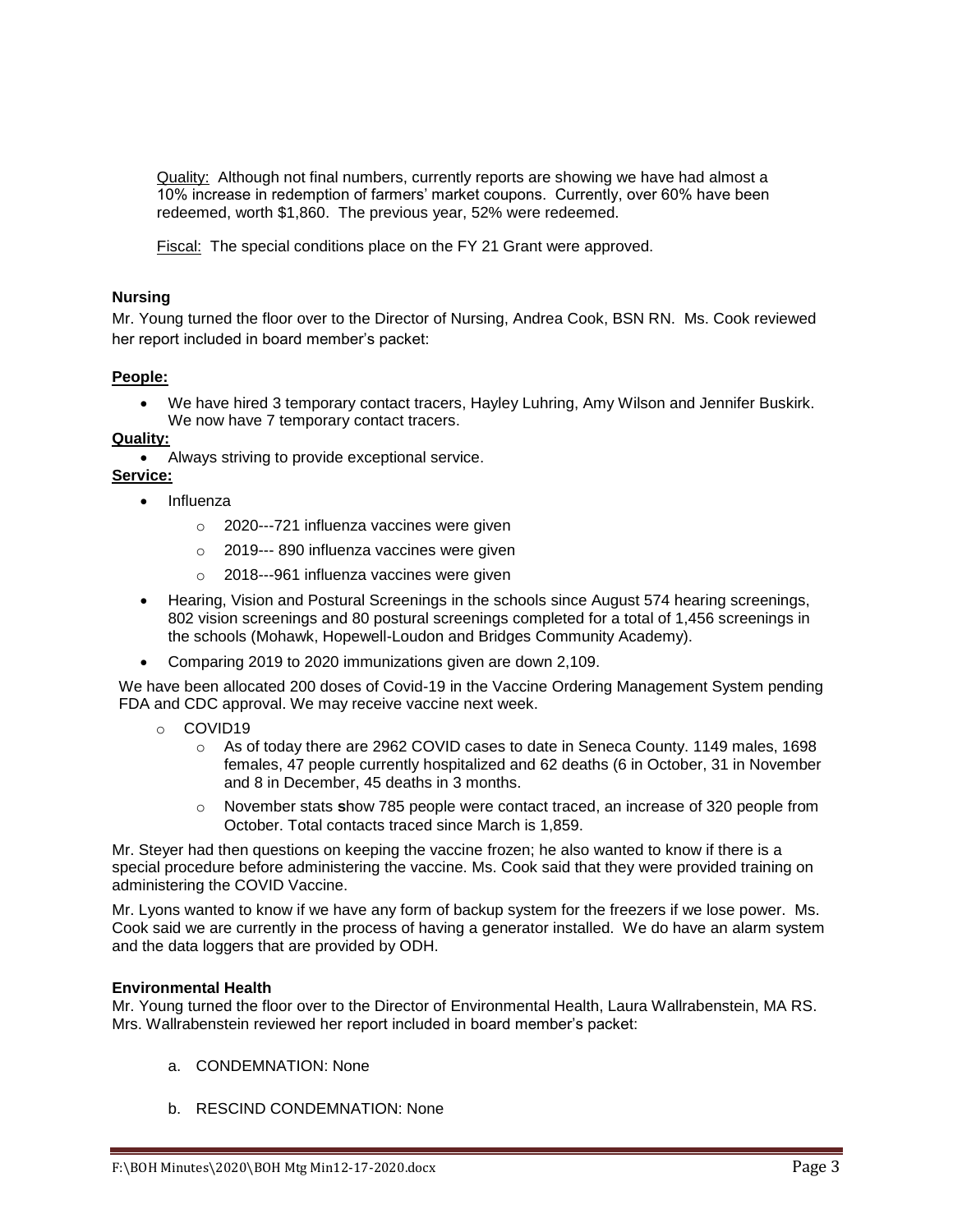Quality: Although not final numbers, currently reports are showing we have had almost a 10% increase in redemption of farmers' market coupons. Currently, over 60% have been redeemed, worth \$1,860. The previous year, 52% were redeemed.

Fiscal: The special conditions place on the FY 21 Grant were approved.

# **Nursing**

Mr. Young turned the floor over to the Director of Nursing, Andrea Cook, BSN RN. Ms. Cook reviewed her report included in board member's packet:

# **People:**

 We have hired 3 temporary contact tracers, Hayley Luhring, Amy Wilson and Jennifer Buskirk. We now have 7 temporary contact tracers.

# **Quality:**

Always striving to provide exceptional service.

### **Service:**

- Influenza
	- o 2020---721 influenza vaccines were given
	- o 2019--- 890 influenza vaccines were given
	- o 2018---961 influenza vaccines were given
- Hearing, Vision and Postural Screenings in the schools since August 574 hearing screenings, 802 vision screenings and 80 postural screenings completed for a total of 1,456 screenings in the schools (Mohawk, Hopewell-Loudon and Bridges Community Academy).
- Comparing 2019 to 2020 immunizations given are down 2,109.

We have been allocated 200 doses of Covid-19 in the Vaccine Ordering Management System pending FDA and CDC approval. We may receive vaccine next week.

- o COVID19
	- o As of today there are 2962 COVID cases to date in Seneca County. 1149 males, 1698 females, 47 people currently hospitalized and 62 deaths (6 in October, 31 in November and 8 in December, 45 deaths in 3 months.
	- o November stats **s**how 785 people were contact traced, an increase of 320 people from October. Total contacts traced since March is 1,859.

Mr. Steyer had then questions on keeping the vaccine frozen; he also wanted to know if there is a special procedure before administering the vaccine. Ms. Cook said that they were provided training on administering the COVID Vaccine.

Mr. Lyons wanted to know if we have any form of backup system for the freezers if we lose power. Ms. Cook said we are currently in the process of having a generator installed. We do have an alarm system and the data loggers that are provided by ODH.

### **Environmental Health**

Mr. Young turned the floor over to the Director of Environmental Health, Laura Wallrabenstein, MA RS. Mrs. Wallrabenstein reviewed her report included in board member's packet:

- a. CONDEMNATION: None
- b. RESCIND CONDEMNATION: None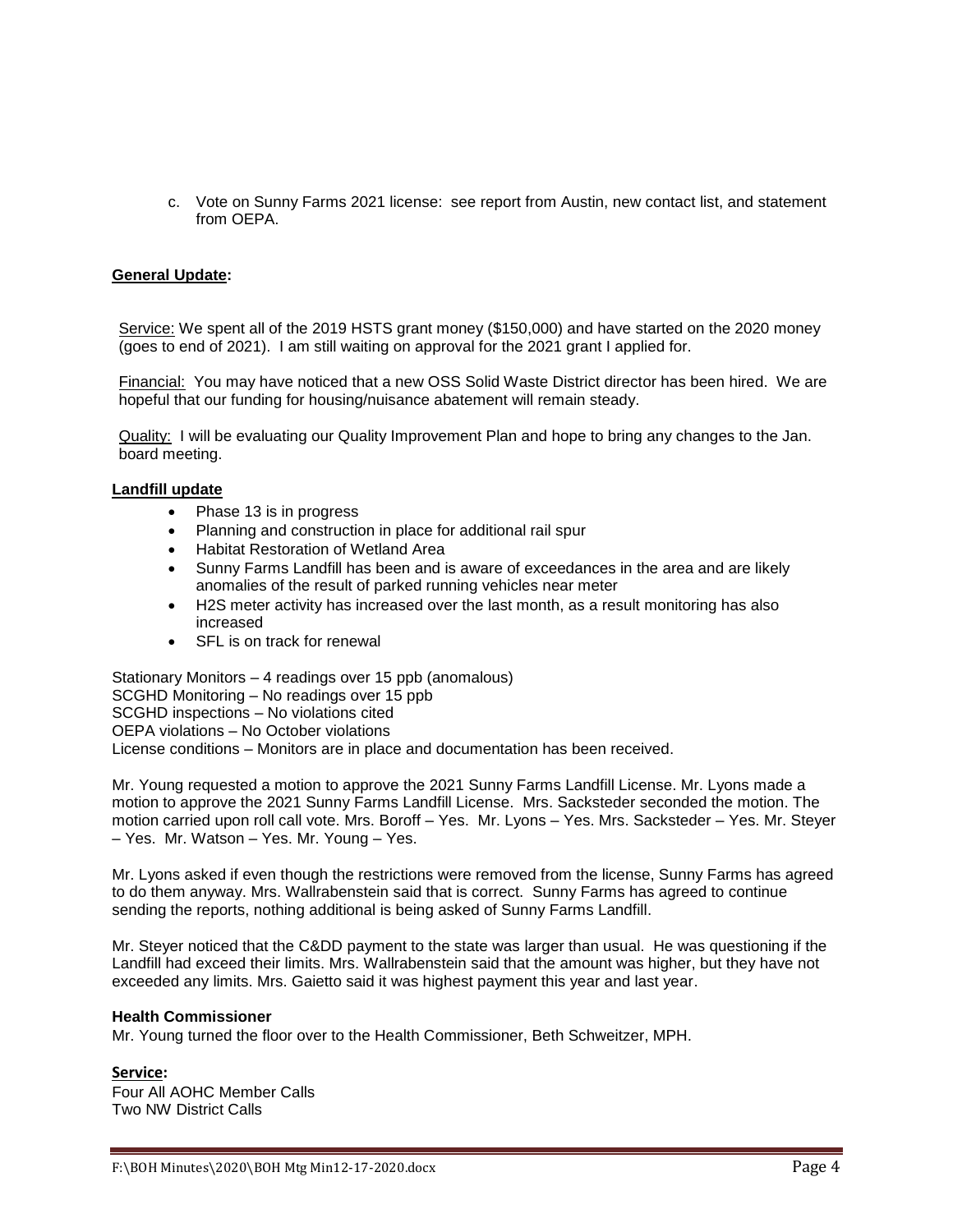c. Vote on Sunny Farms 2021 license: see report from Austin, new contact list, and statement from OEPA.

# **General Update:**

Service: We spent all of the 2019 HSTS grant money (\$150,000) and have started on the 2020 money (goes to end of 2021). I am still waiting on approval for the 2021 grant I applied for.

Financial: You may have noticed that a new OSS Solid Waste District director has been hired. We are hopeful that our funding for housing/nuisance abatement will remain steady.

Quality: I will be evaluating our Quality Improvement Plan and hope to bring any changes to the Jan. board meeting.

#### **Landfill update**

- Phase 13 is in progress
- Planning and construction in place for additional rail spur
- Habitat Restoration of Wetland Area
- Sunny Farms Landfill has been and is aware of exceedances in the area and are likely anomalies of the result of parked running vehicles near meter
- H2S meter activity has increased over the last month, as a result monitoring has also increased
- SFL is on track for renewal

Stationary Monitors – 4 readings over 15 ppb (anomalous) SCGHD Monitoring – No readings over 15 ppb SCGHD inspections – No violations cited OEPA violations – No October violations License conditions – Monitors are in place and documentation has been received.

Mr. Young requested a motion to approve the 2021 Sunny Farms Landfill License. Mr. Lyons made a motion to approve the 2021 Sunny Farms Landfill License. Mrs. Sacksteder seconded the motion. The motion carried upon roll call vote. Mrs. Boroff – Yes. Mr. Lyons – Yes. Mrs. Sacksteder – Yes. Mr. Steyer – Yes. Mr. Watson – Yes. Mr. Young – Yes.

Mr. Lyons asked if even though the restrictions were removed from the license, Sunny Farms has agreed to do them anyway. Mrs. Wallrabenstein said that is correct. Sunny Farms has agreed to continue sending the reports, nothing additional is being asked of Sunny Farms Landfill.

Mr. Steyer noticed that the C&DD payment to the state was larger than usual. He was questioning if the Landfill had exceed their limits. Mrs. Wallrabenstein said that the amount was higher, but they have not exceeded any limits. Mrs. Gaietto said it was highest payment this year and last year.

#### **Health Commissioner**

Mr. Young turned the floor over to the Health Commissioner, Beth Schweitzer, MPH.

### **Service:**

Four All AOHC Member Calls Two NW District Calls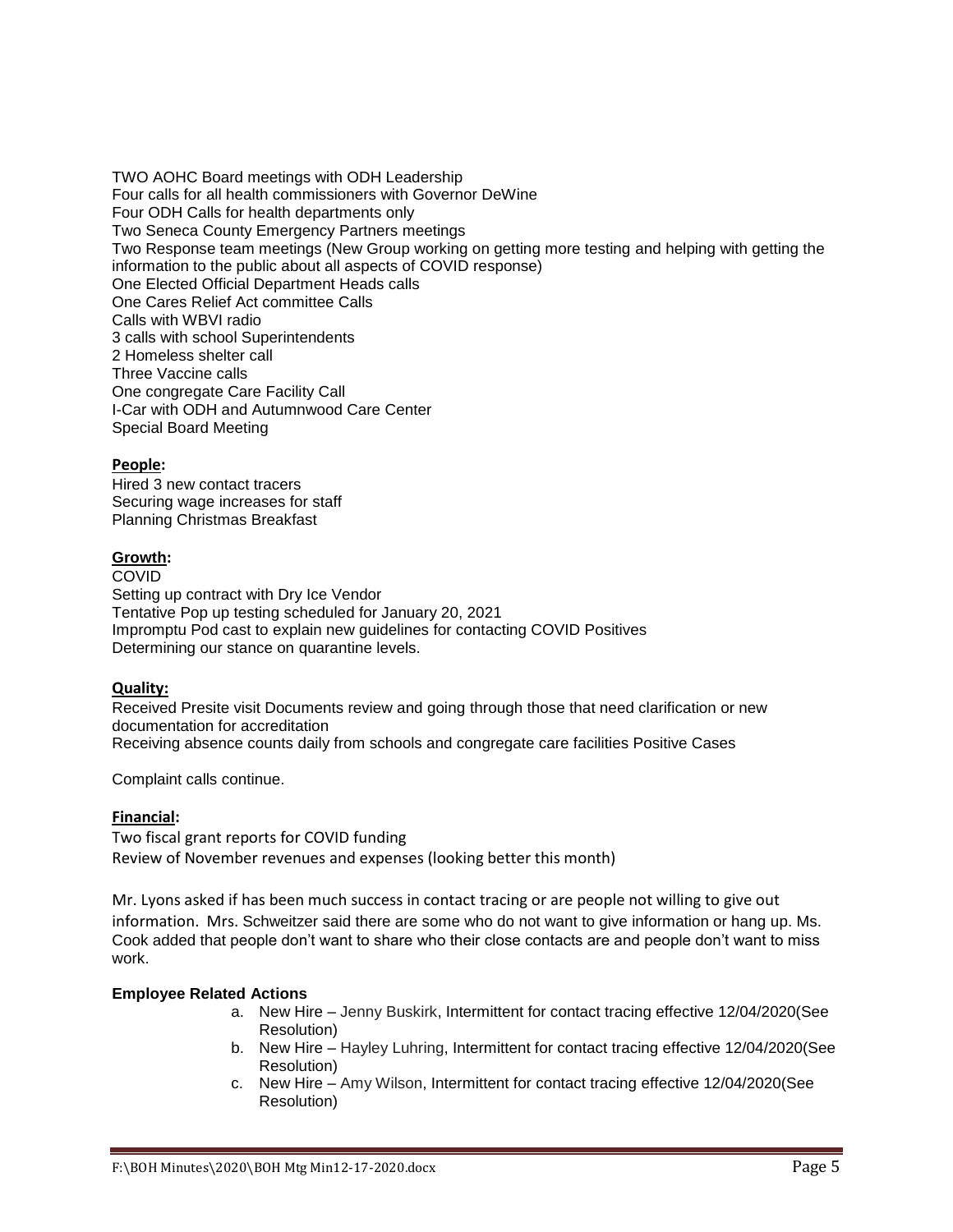TWO AOHC Board meetings with ODH Leadership Four calls for all health commissioners with Governor DeWine Four ODH Calls for health departments only Two Seneca County Emergency Partners meetings Two Response team meetings (New Group working on getting more testing and helping with getting the information to the public about all aspects of COVID response) One Elected Official Department Heads calls One Cares Relief Act committee Calls Calls with WBVI radio 3 calls with school Superintendents 2 Homeless shelter call Three Vaccine calls One congregate Care Facility Call I-Car with ODH and Autumnwood Care Center Special Board Meeting

# **People:**

Hired 3 new contact tracers Securing wage increases for staff Planning Christmas Breakfast

# **Growth:**

COVID Setting up contract with Dry Ice Vendor Tentative Pop up testing scheduled for January 20, 2021 Impromptu Pod cast to explain new guidelines for contacting COVID Positives Determining our stance on quarantine levels.

# **Quality:**

Received Presite visit Documents review and going through those that need clarification or new documentation for accreditation Receiving absence counts daily from schools and congregate care facilities Positive Cases

Complaint calls continue.

# **Financial:**

Two fiscal grant reports for COVID funding Review of November revenues and expenses (looking better this month)

Mr. Lyons asked if has been much success in contact tracing or are people not willing to give out information. Mrs. Schweitzer said there are some who do not want to give information or hang up. Ms. Cook added that people don't want to share who their close contacts are and people don't want to miss work.

# **Employee Related Actions**

- a. New Hire Jenny Buskirk, Intermittent for contact tracing effective 12/04/2020(See Resolution)
- b. New Hire Hayley Luhring, Intermittent for contact tracing effective 12/04/2020(See Resolution)
- c. New Hire Amy Wilson, Intermittent for contact tracing effective 12/04/2020(See Resolution)